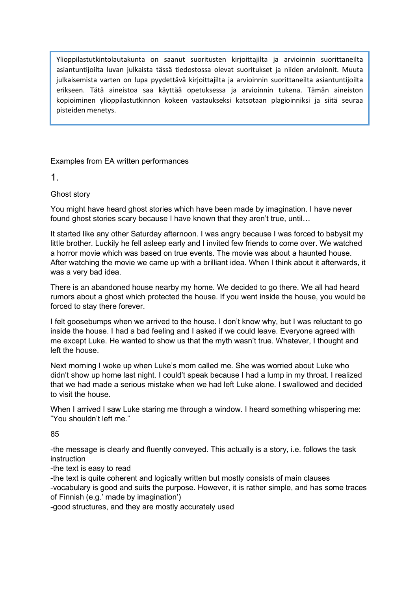Ylioppilastutkintolautakunta on saanut suoritusten kirjoittajilta ja arvioinnin suorittaneilta asiantuntijoilta luvan julkaista tässä tiedostossa olevat suoritukset ja niiden arvioinnit. Muuta julkaisemista varten on lupa pyydettävä kirjoittajilta ja arvioinnin suorittaneilta asiantuntijoilta erikseen. Tätä aineistoa saa käyttää opetuksessa ja arvioinnin tukena. Tämän aineiston kopioiminen ylioppilastutkinnon kokeen vastaukseksi katsotaan plagioinniksi ja siitä seuraa pisteiden menetys.

Examples from EA written performances

1.

Ghost story

 You might have heard ghost stories which have been made by imagination. I have never found ghost stories scary because I have known that they aren't true, until…

 It started like any other Saturday afternoon. I was angry because I was forced to babysit my little brother. Luckily he fell asleep early and I invited few friends to come over. We watched a horror movie which was based on true events. The movie was about a haunted house. After watching the movie we came up with a brilliant idea. When I think about it afterwards, it was a very bad idea.

 There is an abandoned house nearby my home. We decided to go there. We all had heard rumors about a ghost which protected the house. If you went inside the house, you would be forced to stay there forever.

 I felt goosebumps when we arrived to the house. I don't know why, but I was reluctant to go inside the house. I had a bad feeling and I asked if we could leave. Everyone agreed with me except Luke. He wanted to show us that the myth wasn't true. Whatever, I thought and left the house.

 Next morning I woke up when Luke's mom called me. She was worried about Luke who didn't show up home last night. I could't speak because I had a lump in my throat. I realized that we had made a serious mistake when we had left Luke alone. I swallowed and decided to visit the house.

 When I arrived I saw Luke staring me through a window. I heard something whispering me: "You shouldn't left me."

85

 -the message is clearly and fluently conveyed. This actually is a story, i.e. follows the task instruction

-the text is easy to read

 -the text is quite coherent and logically written but mostly consists of main clauses -vocabulary is good and suits the purpose. However, it is rather simple, and has some traces of Finnish (e.g.' made by imagination')

-good structures, and they are mostly accurately used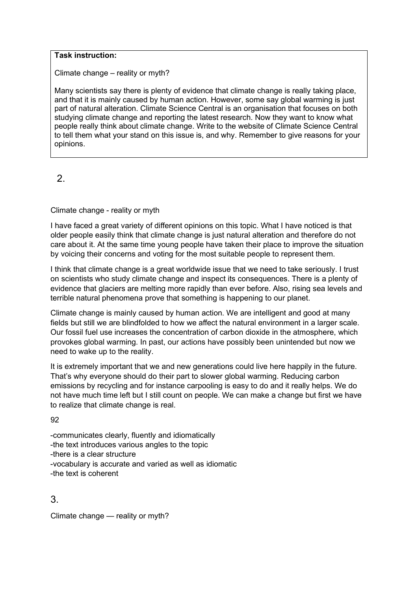#### Task instruction:

Climate change – reality or myth?

 Many scientists say there is plenty of evidence that climate change is really taking place, and that it is mainly caused by human action. However, some say global warming is just part of natural alteration. Climate Science Central is an organisation that focuses on both studying climate change and reporting the latest research. Now they want to know what people really think about climate change. Write to the website of Climate Science Central to tell them what your stand on this issue is, and why. Remember to give reasons for your opinions.

2.

Climate change - reality or myth

 I have faced a great variety of different opinions on this topic. What I have noticed is that older people easily think that climate change is just natural alteration and therefore do not care about it. At the same time young people have taken their place to improve the situation by voicing their concerns and voting for the most suitable people to represent them.

 I think that climate change is a great worldwide issue that we need to take seriously. I trust on scientists who study climate change and inspect its consequences. There is a plenty of evidence that glaciers are melting more rapidly than ever before. Also, rising sea levels and terrible natural phenomena prove that something is happening to our planet.

 Climate change is mainly caused by human action. We are intelligent and good at many fields but still we are blindfolded to how we affect the natural environment in a larger scale. Our fossil fuel use increases the concentration of carbon dioxide in the atmosphere, which provokes global warming. In past, our actions have possibly been unintended but now we need to wake up to the reality.

 It is extremely important that we and new generations could live here happily in the future. That's why everyone should do their part to slower global warming. Reducing carbon emissions by recycling and for instance carpooling is easy to do and it really helps. We do not have much time left but I still count on people. We can make a change but first we have to realize that climate change is real.

92

 -communicates clearly, fluently and idiomatically -the text introduces various angles to the topic -there is a clear structure -vocabulary is accurate and varied as well as idiomatic -the text is coherent

3.

Climate change — reality or myth?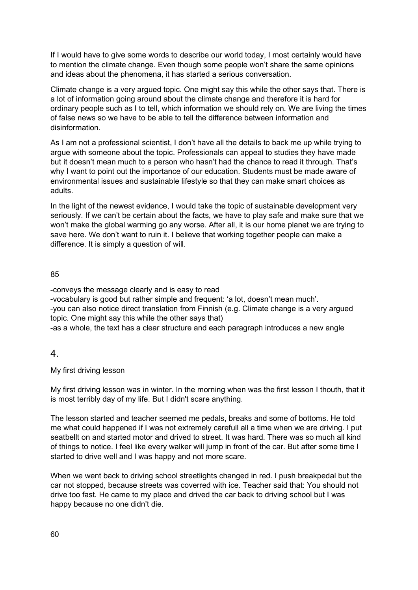If I would have to give some words to describe our world today, I most certainly would have to mention the climate change. Even though some people won't share the same opinions and ideas about the phenomena, it has started a serious conversation.

 Climate change is a very argued topic. One might say this while the other says that. There is a lot of information going around about the climate change and therefore it is hard for ordinary people such as I to tell, which information we should rely on. We are living the times of false news so we have to be able to tell the difference between information and disinformation.

 As I am not a professional scientist, I don't have all the details to back me up while trying to argue with someone about the topic. Professionals can appeal to studies they have made but it doesn't mean much to a person who hasn't had the chance to read it through. That's why I want to point out the importance of our education. Students must be made aware of environmental issues and sustainable lifestyle so that they can make smart choices as adults.

 In the light of the newest evidence, I would take the topic of sustainable development very seriously. If we can't be certain about the facts, we have to play safe and make sure that we won't make the global warming go any worse. After all, it is our home planet we are trying to save here. We don't want to ruin it. I believe that working together people can make a difference. It is simply a question of will.

### 85

-conveys the message clearly and is easy to read

 -vocabulary is good but rather simple and frequent: 'a lot, doesn't mean much'. -you can also notice direct translation from Finnish (e.g. Climate change is a very argued topic. One might say this while the other says that)

-as a whole, the text has a clear structure and each paragraph introduces a new angle

# 4.

My first driving lesson

 My first driving lesson was in winter. In the morning when was the first lesson I thouth, that it is most terribly day of my life. But I didn't scare anything.

 The lesson started and teacher seemed me pedals, breaks and some of bottoms. He told me what could happened if I was not extremely carefull all a time when we are driving. I put seatbellt on and started motor and drived to street. It was hard. There was so much all kind of things to notice. I feel like every walker will jump in front of the car. But after some time I started to drive well and I was happy and not more scare.

 When we went back to driving school streetlights changed in red. I push breakpedal but the car not stopped, because streets was coverred with ice. Teacher said that: You should not drive too fast. He came to my place and drived the car back to driving school but I was happy because no one didn't die.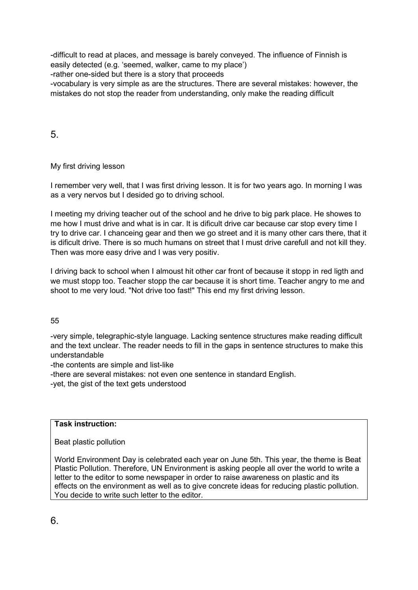-difficult to read at places, and message is barely conveyed. The influence of Finnish is easily detected (e.g. 'seemed, walker, came to my place')

-rather one-sided but there is a story that proceeds

 -vocabulary is very simple as are the structures. There are several mistakes: however, the mistakes do not stop the reader from understanding, only make the reading difficult

5.

My first driving lesson

 I remember very well, that I was first driving lesson. It is for two years ago. In morning I was as a very nervos but I desided go to driving school.

 I meeting my driving teacher out of the school and he drive to big park place. He showes to me how I must drive and what is in car. It is dificult drive car because car stop every time I try to drive car. I chanceing gear and then we go street and it is many other cars there, that it is dificult drive. There is so much humans on street that I must drive carefull and not kill they. Then was more easy drive and I was very positiv.

 I driving back to school when I almoust hit other car front of because it stopp in red ligth and we must stopp too. Teacher stopp the car because it is short time. Teacher angry to me and shoot to me very loud. "Not drive too fast!" This end my first driving lesson.

55

 -very simple, telegraphic-style language. Lacking sentence structures make reading difficult and the text unclear. The reader needs to fill in the gaps in sentence structures to make this understandable

-the contents are simple and list-like

-there are several mistakes: not even one sentence in standard English.

-yet, the gist of the text gets understood

Task instruction:

Beat plastic pollution

 World Environment Day is celebrated each year on June 5th. This year, the theme is Beat Plastic Pollution. Therefore, UN Environment is asking people all over the world to write a letter to the editor to some newspaper in order to raise awareness on plastic and its effects on the environment as well as to give concrete ideas for reducing plastic pollution. You decide to write such letter to the editor.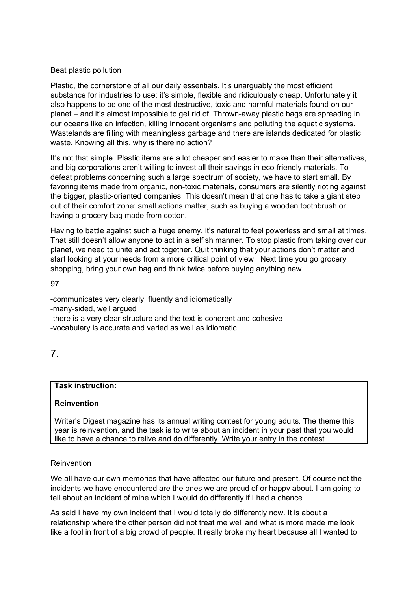### Beat plastic pollution

 Plastic, the cornerstone of all our daily essentials. It's unarguably the most efficient substance for industries to use: it's simple, flexible and ridiculously cheap. Unfortunately it also happens to be one of the most destructive, toxic and harmful materials found on our planet – and it's almost impossible to get rid of. Thrown-away plastic bags are spreading in our oceans like an infection, killing innocent organisms and polluting the aquatic systems. Wastelands are filling with meaningless garbage and there are islands dedicated for plastic waste. Knowing all this, why is there no action?

 It's not that simple. Plastic items are a lot cheaper and easier to make than their alternatives, and big corporations aren't willing to invest all their savings in eco-friendly materials. To defeat problems concerning such a large spectrum of society, we have to start small. By favoring items made from organic, non-toxic materials, consumers are silently rioting against the bigger, plastic-oriented companies. This doesn't mean that one has to take a giant step out of their comfort zone: small actions matter, such as buying a wooden toothbrush or having a grocery bag made from cotton.

 Having to battle against such a huge enemy, it's natural to feel powerless and small at times. That still doesn't allow anyone to act in a selfish manner. To stop plastic from taking over our planet, we need to unite and act together. Quit thinking that your actions don't matter and start looking at your needs from a more critical point of view. Next time you go grocery shopping, bring your own bag and think twice before buying anything new.

97

 -communicates very clearly, fluently and idiomatically -many-sided, well argued -there is a very clear structure and the text is coherent and cohesive -vocabulary is accurate and varied as well as idiomatic

7.

## Task instruction:

## Reinvention

 Writer's Digest magazine has its annual writing contest for young adults. The theme this year is reinvention, and the task is to write about an incident in your past that you would like to have a chance to relive and do differently. Write your entry in the contest.

### Reinvention

 We all have our own memories that have affected our future and present. Of course not the incidents we have encountered are the ones we are proud of or happy about. I am going to tell about an incident of mine which I would do differently if I had a chance.

 As said I have my own incident that I would totally do differently now. It is about a relationship where the other person did not treat me well and what is more made me look like a fool in front of a big crowd of people. It really broke my heart because all I wanted to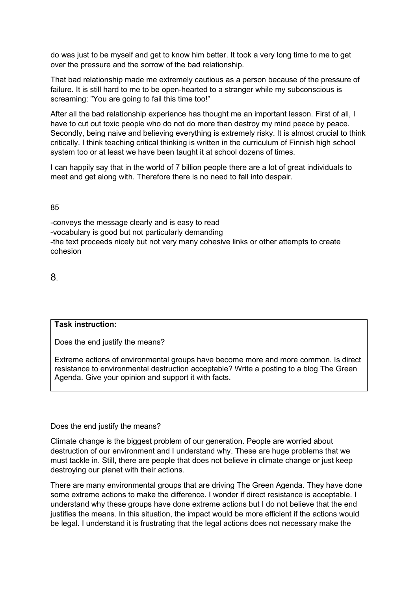do was just to be myself and get to know him better. It took a very long time to me to get over the pressure and the sorrow of the bad relationship.

 That bad relationship made me extremely cautious as a person because of the pressure of failure. It is still hard to me to be open-hearted to a stranger while my subconscious is screaming: "You are going to fail this time too!"

 After all the bad relationship experience has thought me an important lesson. First of all, I have to cut out toxic people who do not do more than destroy my mind peace by peace. Secondly, being naive and believing everything is extremely risky. It is almost crucial to think critically. I think teaching critical thinking is written in the curriculum of Finnish high school system too or at least we have been taught it at school dozens of times.

 I can happily say that in the world of 7 billion people there are a lot of great individuals to meet and get along with. Therefore there is no need to fall into despair.

85

 -conveys the message clearly and is easy to read -vocabulary is good but not particularly demanding -the text proceeds nicely but not very many cohesive links or other attempts to create cohesion

8.

### Task instruction:

Does the end justify the means?

 Extreme actions of environmental groups have become more and more common. Is direct resistance to environmental destruction acceptable? Write a posting to a blog The Green Agenda. Give your opinion and support it with facts.

### Does the end justify the means?

 Climate change is the biggest problem of our generation. People are worried about destruction of our environment and I understand why. These are huge problems that we must tackle in. Still, there are people that does not believe in climate change or just keep destroying our planet with their actions.

 There are many environmental groups that are driving The Green Agenda. They have done some extreme actions to make the difference. I wonder if direct resistance is acceptable. I understand why these groups have done extreme actions but I do not believe that the end justifies the means. In this situation, the impact would be more efficient if the actions would be legal. I understand it is frustrating that the legal actions does not necessary make the